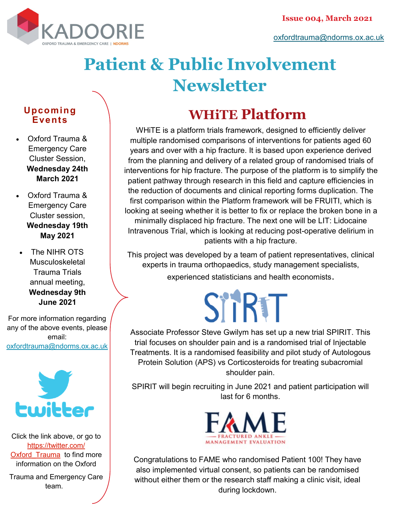

## **Patient & Public Involvement Newsletter**

#### **Upcoming Events**

- Oxford Trauma & Emergency Care Cluster Session, **Wednesday 24th March 2021**
- Oxford Trauma & Emergency Care Cluster session, **Wednesday 19th May 2021**
- The NIHR OTS Musculoskeletal Trauma Trials annual meeting, **Wednesday 9th June 2021**

For more information regarding any of the above events, please email: [oxfordtrauma@ndorms.ox.ac.uk](mailto:oxfordtrauma@ndorms.ox.ac.uk)



Click the link above, or go to [https://twitter.com/](https://twitter.com/Oxford_Trauma) Oxford Trauma to find more information on the Oxford

Trauma and Emergency Care team.

### **WHiTE Platform**

WHiTE is a platform trials framework, designed to efficiently deliver multiple randomised comparisons of interventions for patients aged 60 years and over with a hip fracture. It is based upon experience derived from the planning and delivery of a related group of randomised trials of interventions for hip fracture. The purpose of the platform is to simplify the patient pathway through research in this field and capture efficiencies in the reduction of documents and clinical reporting forms duplication. The first comparison within the Platform framework will be FRUITI, which is looking at seeing whether it is better to fix or replace the broken bone in a minimally displaced hip fracture. The next one will be LIT: Lidocaine Intravenous Trial, which is looking at reducing post-operative delirium in patients with a hip fracture.

This project was developed by a team of patient representatives, clinical experts in trauma orthopaedics, study management specialists, experienced statisticians and health economists.

# SITRTT

Associate Professor Steve Gwilym has set up a new trial SPIRIT. This trial focuses on shoulder pain and is a randomised trial of Injectable Treatments. It is a randomised feasibility and pilot study of Autologous Protein Solution (APS) vs Corticosteroids for treating subacromial shoulder pain.

SPIRIT will begin recruiting in June 2021 and patient participation will last for 6 months.



Congratulations to FAME who randomised Patient 100! They have also implemented virtual consent, so patients can be randomised without either them or the research staff making a clinic visit, ideal during lockdown.